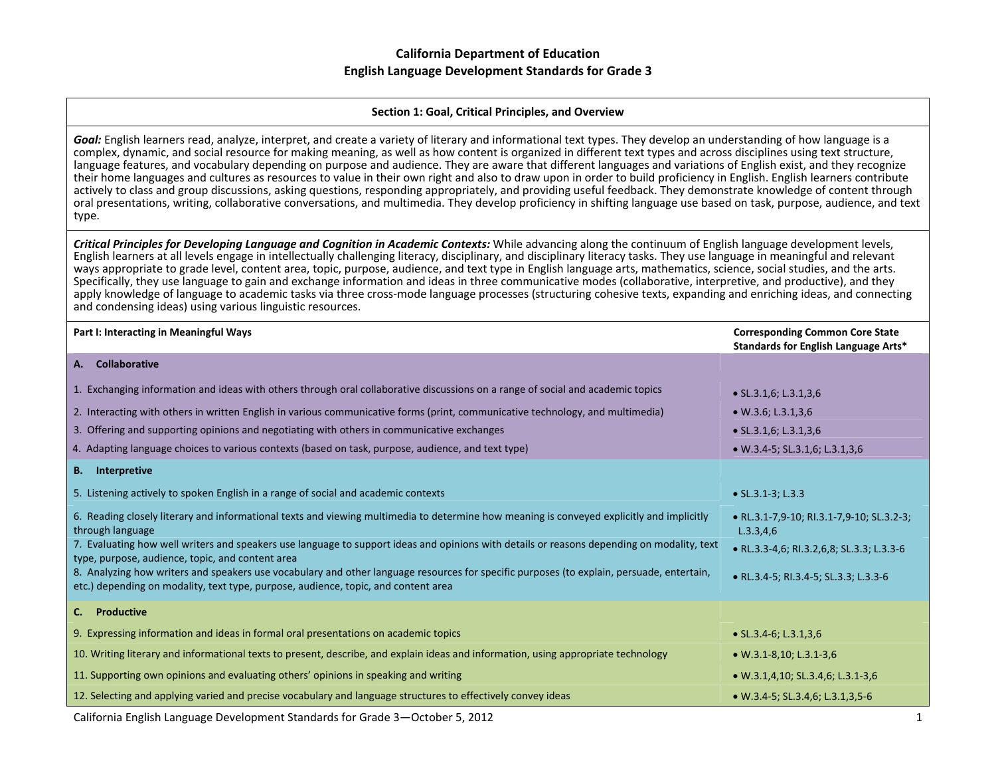#### **Section 1: Goal, Critical Principles, and Overview**

*Goal:* English learners read, analyze, interpret, and create <sup>a</sup> variety of literary and informational text types. They develop an understanding of how language is <sup>a</sup> complex, dynamic, and social resource for making meaning, as well as how content is organized in different text types and across disciplines using text structure, language features, and vocabulary depending on purpose and audience. They are aware that different languages and variations of English exist, and they recognize their home languages and cultures as resources to value in their own right and also to draw upon in order to build proficiency in English. English learners contribute actively to class and group discussions, asking questions, responding appropriately, and providing useful feedback. They demonstrate knowledge of content through oral presentations, writing, collaborative conversations, and multimedia. They develop proficiency in shifting language use based on task, purpose, audience, and text type.

Critical Principles for Developing Language and Cognition in Academic Contexts: While advancing along the continuum of English language development levels, English learners at all levels engage in intellectually challenging literacy, disciplinary, and disciplinary literacy tasks. They use language in meaningful and relevant ways appropriate to grade level, content area, topic, purpose, audience, and text type in English language arts, mathematics, science, social studies, and the arts. Specifically, they use language to gain and exchange information and ideas in three communicative modes (collaborative, interpretive, and productive), and they apply knowledge of language to academic tasks via three cross-mode language processes (structuring cohesive texts, expanding and enriching ideas, and connecting and condensing ideas) using various linguistic resources.

| Part I: Interacting in Meaningful Ways                                                                                                                                                                                          | <b>Corresponding Common Core State</b><br>Standards for English Language Arts* |
|---------------------------------------------------------------------------------------------------------------------------------------------------------------------------------------------------------------------------------|--------------------------------------------------------------------------------|
| <b>Collaborative</b><br>А.                                                                                                                                                                                                      |                                                                                |
| 1. Exchanging information and ideas with others through oral collaborative discussions on a range of social and academic topics                                                                                                 | $\bullet$ SL.3.1,6; L.3.1,3,6                                                  |
| 2. Interacting with others in written English in various communicative forms (print, communicative technology, and multimedia)                                                                                                  | $\bullet$ W.3.6; L.3.1,3,6                                                     |
| 3. Offering and supporting opinions and negotiating with others in communicative exchanges                                                                                                                                      | $\bullet$ SL.3.1,6; L.3.1,3,6                                                  |
| 4. Adapting language choices to various contexts (based on task, purpose, audience, and text type)                                                                                                                              | $\bullet$ W.3.4-5; SL.3.1,6; L.3.1,3,6                                         |
| Interpretive<br><b>B.</b>                                                                                                                                                                                                       |                                                                                |
| 5. Listening actively to spoken English in a range of social and academic contexts                                                                                                                                              | $\bullet$ SL.3.1-3; L.3.3                                                      |
| 6. Reading closely literary and informational texts and viewing multimedia to determine how meaning is conveyed explicitly and implicitly<br>through language                                                                   | • RL.3.1-7,9-10; RI.3.1-7,9-10; SL.3.2-3;<br>L.3.3,4.6                         |
| 7. Evaluating how well writers and speakers use language to support ideas and opinions with details or reasons depending on modality, text<br>type, purpose, audience, topic, and content area                                  | • RL.3.3-4,6; RI.3.2,6,8; SL.3.3; L.3.3-6                                      |
| 8. Analyzing how writers and speakers use vocabulary and other language resources for specific purposes (to explain, persuade, entertain,<br>etc.) depending on modality, text type, purpose, audience, topic, and content area | • RL.3.4-5; RI.3.4-5; SL.3.3; L.3.3-6                                          |
| <b>Productive</b><br>C.                                                                                                                                                                                                         |                                                                                |
| 9. Expressing information and ideas in formal oral presentations on academic topics                                                                                                                                             | • $SL.3.4-6$ ; $L.3.1,3.6$                                                     |
| 10. Writing literary and informational texts to present, describe, and explain ideas and information, using appropriate technology                                                                                              | $\bullet$ W.3.1-8,10; L.3.1-3,6                                                |
| 11. Supporting own opinions and evaluating others' opinions in speaking and writing                                                                                                                                             | • W.3.1,4,10; SL.3.4,6; L.3.1-3,6                                              |
| 12. Selecting and applying varied and precise vocabulary and language structures to effectively convey ideas                                                                                                                    | $\bullet$ W.3.4-5; SL.3.4,6; L.3.1,3,5-6                                       |

California English Language Development Standards for Grade 3—October 5, 2012 1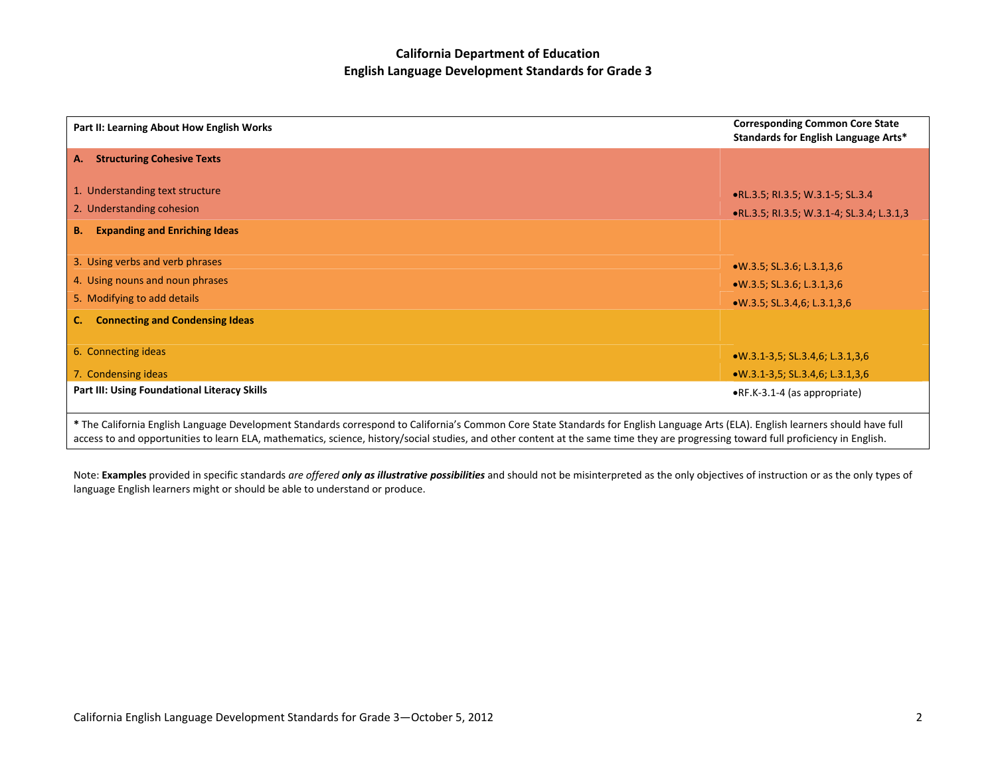| Part II: Learning About How English Works                                                                                                                                                                                                                                                                                                                                | <b>Corresponding Common Core State</b><br>Standards for English Language Arts* |
|--------------------------------------------------------------------------------------------------------------------------------------------------------------------------------------------------------------------------------------------------------------------------------------------------------------------------------------------------------------------------|--------------------------------------------------------------------------------|
| <b>Structuring Cohesive Texts</b><br>А.                                                                                                                                                                                                                                                                                                                                  |                                                                                |
| 1. Understanding text structure                                                                                                                                                                                                                                                                                                                                          | .RL.3.5; RI.3.5; W.3.1-5; SL.3.4                                               |
| 2. Understanding cohesion                                                                                                                                                                                                                                                                                                                                                | . RL.3.5; RI.3.5; W.3.1-4; SL.3.4; L.3.1,3                                     |
| <b>Expanding and Enriching Ideas</b><br><b>B.</b>                                                                                                                                                                                                                                                                                                                        |                                                                                |
| 3. Using verbs and verb phrases                                                                                                                                                                                                                                                                                                                                          | $W.3.5$ ; SL.3.6; L.3.1,3,6                                                    |
| 4. Using nouns and noun phrases                                                                                                                                                                                                                                                                                                                                          | $W.3.5$ ; SL.3.6; L.3.1,3,6                                                    |
| 5. Modifying to add details                                                                                                                                                                                                                                                                                                                                              | $W.3.5$ ; SL.3.4,6; L.3.1,3,6                                                  |
| <b>Connecting and Condensing Ideas</b><br>C.                                                                                                                                                                                                                                                                                                                             |                                                                                |
| 6. Connecting ideas                                                                                                                                                                                                                                                                                                                                                      | $W.3.1-3.5$ ; SL.3.4,6; L.3.1,3,6                                              |
| 7. Condensing ideas                                                                                                                                                                                                                                                                                                                                                      | $W.3.1-3.5$ ; SL.3.4,6; L.3.1,3,6                                              |
| <b>Part III: Using Foundational Literacy Skills</b>                                                                                                                                                                                                                                                                                                                      | •RF.K-3.1-4 (as appropriate)                                                   |
| * The California English Language Development Standards correspond to California's Common Core State Standards for English Language Arts (ELA). English learners should have full<br>access to and opportunities to learn ELA, mathematics, science, history/social studies, and other content at the same time they are progressing toward full proficiency in English. |                                                                                |

Note: **Examples** provided in specific standards are offered **only as illustrative possibilities** and should not be misinterpreted as the only objectives of instruction or as the only types of language English learners might or should be able to understand or produce.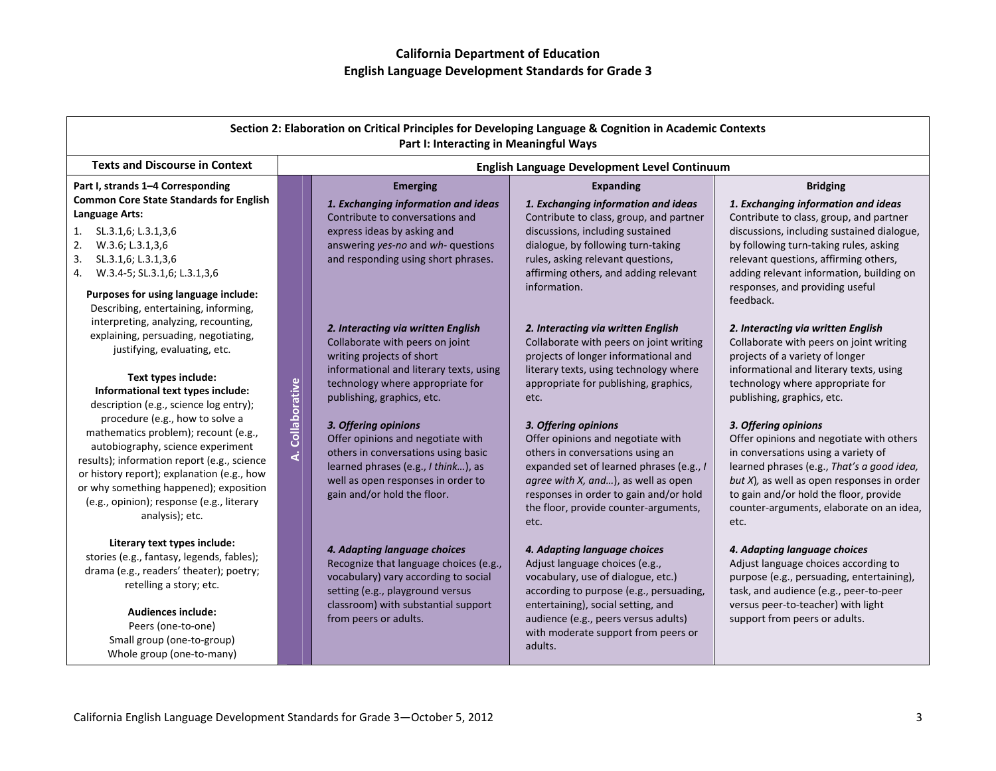| Section 2: Elaboration on Critical Principles for Developing Language & Cognition in Academic Contexts<br>Part I: Interacting in Meaningful Ways                                                                                                                                 |                         |                                                                                                                                                                                                              |                                                                                                                                                                                                                                                                             |                                                                                                                                                                                                                                                                                                      |
|----------------------------------------------------------------------------------------------------------------------------------------------------------------------------------------------------------------------------------------------------------------------------------|-------------------------|--------------------------------------------------------------------------------------------------------------------------------------------------------------------------------------------------------------|-----------------------------------------------------------------------------------------------------------------------------------------------------------------------------------------------------------------------------------------------------------------------------|------------------------------------------------------------------------------------------------------------------------------------------------------------------------------------------------------------------------------------------------------------------------------------------------------|
| <b>Texts and Discourse in Context</b>                                                                                                                                                                                                                                            |                         | English Language Development Level Continuum                                                                                                                                                                 |                                                                                                                                                                                                                                                                             |                                                                                                                                                                                                                                                                                                      |
| Part I, strands 1-4 Corresponding                                                                                                                                                                                                                                                |                         | <b>Emerging</b>                                                                                                                                                                                              | <b>Expanding</b>                                                                                                                                                                                                                                                            | <b>Bridging</b>                                                                                                                                                                                                                                                                                      |
| <b>Common Core State Standards for English</b><br>Language Arts:<br>SL.3.1,6; L.3.1,3,6<br>1.<br>2.<br>W.3.6; L.3.1,3,6<br>3.<br>SL.3.1,6; L.3.1,3,6                                                                                                                             |                         | 1. Exchanging information and ideas<br>Contribute to conversations and<br>express ideas by asking and<br>answering yes-no and wh- questions<br>and responding using short phrases.                           | 1. Exchanging information and ideas<br>Contribute to class, group, and partner<br>discussions, including sustained<br>dialogue, by following turn-taking<br>rules, asking relevant questions,                                                                               | 1. Exchanging information and ideas<br>Contribute to class, group, and partner<br>discussions, including sustained dialogue,<br>by following turn-taking rules, asking<br>relevant questions, affirming others,                                                                                      |
| 4. W.3.4-5; SL.3.1,6; L.3.1,3,6<br>Purposes for using language include:<br>Describing, entertaining, informing,                                                                                                                                                                  |                         |                                                                                                                                                                                                              | affirming others, and adding relevant<br>information.                                                                                                                                                                                                                       | adding relevant information, building on<br>responses, and providing useful<br>feedback.                                                                                                                                                                                                             |
| interpreting, analyzing, recounting,<br>explaining, persuading, negotiating,<br>justifying, evaluating, etc.                                                                                                                                                                     | Collaborative<br>ل<br>ح | 2. Interacting via written English<br>Collaborate with peers on joint<br>writing projects of short                                                                                                           | 2. Interacting via written English<br>Collaborate with peers on joint writing<br>projects of longer informational and                                                                                                                                                       | 2. Interacting via written English<br>Collaborate with peers on joint writing<br>projects of a variety of longer                                                                                                                                                                                     |
| Text types include:<br>Informational text types include:<br>description (e.g., science log entry);<br>procedure (e.g., how to solve a                                                                                                                                            |                         | informational and literary texts, using<br>technology where appropriate for<br>publishing, graphics, etc.                                                                                                    | literary texts, using technology where<br>appropriate for publishing, graphics,<br>etc.                                                                                                                                                                                     | informational and literary texts, using<br>technology where appropriate for<br>publishing, graphics, etc.                                                                                                                                                                                            |
| mathematics problem); recount (e.g.,<br>autobiography, science experiment<br>results); information report (e.g., science<br>or history report); explanation (e.g., how<br>or why something happened); exposition<br>(e.g., opinion); response (e.g., literary<br>analysis); etc. |                         | 3. Offering opinions<br>Offer opinions and negotiate with<br>others in conversations using basic<br>learned phrases (e.g., I think), as<br>well as open responses in order to<br>gain and/or hold the floor. | 3. Offering opinions<br>Offer opinions and negotiate with<br>others in conversations using an<br>expanded set of learned phrases (e.g., I<br>agree with X, and), as well as open<br>responses in order to gain and/or hold<br>the floor, provide counter-arguments,<br>etc. | 3. Offering opinions<br>Offer opinions and negotiate with others<br>in conversations using a variety of<br>learned phrases (e.g., That's a good idea,<br>but $X$ ), as well as open responses in order<br>to gain and/or hold the floor, provide<br>counter-arguments, elaborate on an idea,<br>etc. |
| Literary text types include:<br>stories (e.g., fantasy, legends, fables);<br>drama (e.g., readers' theater); poetry;<br>retelling a story; etc.                                                                                                                                  |                         | 4. Adapting language choices<br>Recognize that language choices (e.g.,<br>vocabulary) vary according to social<br>setting (e.g., playground versus<br>classroom) with substantial support                    | 4. Adapting language choices<br>Adjust language choices (e.g.,<br>vocabulary, use of dialogue, etc.)<br>according to purpose (e.g., persuading,<br>entertaining), social setting, and                                                                                       | 4. Adapting language choices<br>Adjust language choices according to<br>purpose (e.g., persuading, entertaining),<br>task, and audience (e.g., peer-to-peer<br>versus peer-to-teacher) with light                                                                                                    |
| <b>Audiences include:</b><br>Peers (one-to-one)<br>Small group (one-to-group)<br>Whole group (one-to-many)                                                                                                                                                                       |                         | from peers or adults.                                                                                                                                                                                        | audience (e.g., peers versus adults)<br>with moderate support from peers or<br>adults.                                                                                                                                                                                      | support from peers or adults.                                                                                                                                                                                                                                                                        |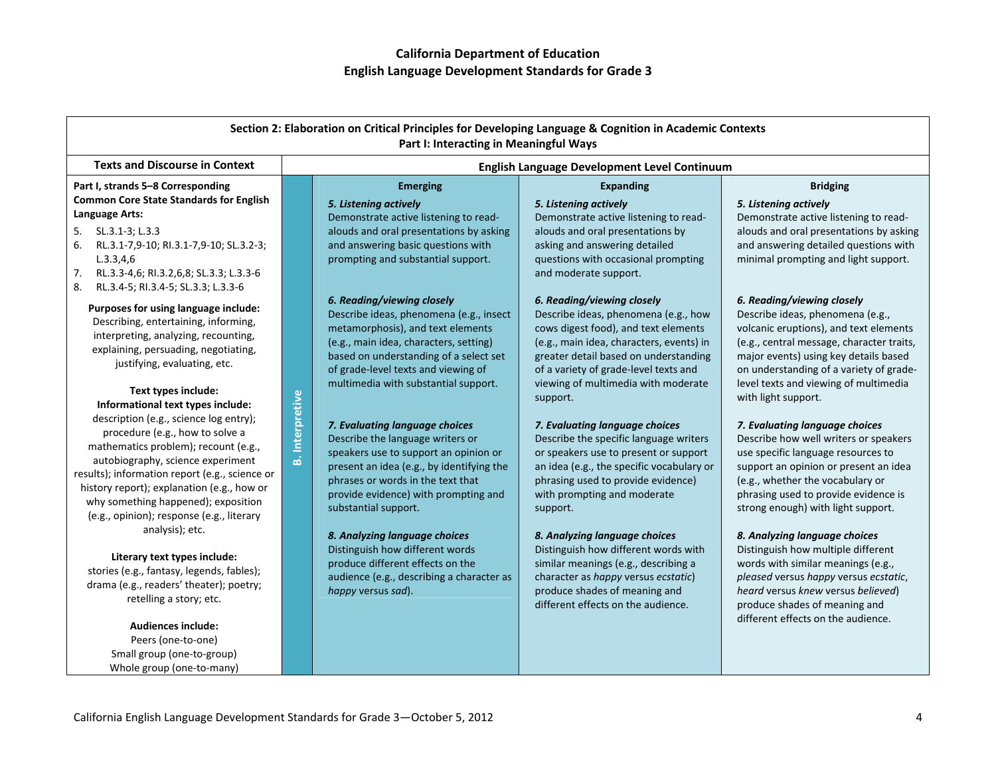| Section 2: Elaboration on Critical Principles for Developing Language & Cognition in Academic Contexts<br>Part I: Interacting in Meaningful Ways                                                                                                                                                                                                              |                        |                                                                                                                                                                                                                                                               |                                                                                                                                                                                                                                                 |                                                                                                                                                                                                                                                                          |
|---------------------------------------------------------------------------------------------------------------------------------------------------------------------------------------------------------------------------------------------------------------------------------------------------------------------------------------------------------------|------------------------|---------------------------------------------------------------------------------------------------------------------------------------------------------------------------------------------------------------------------------------------------------------|-------------------------------------------------------------------------------------------------------------------------------------------------------------------------------------------------------------------------------------------------|--------------------------------------------------------------------------------------------------------------------------------------------------------------------------------------------------------------------------------------------------------------------------|
| <b>Texts and Discourse in Context</b>                                                                                                                                                                                                                                                                                                                         |                        | English Language Development Level Continuum                                                                                                                                                                                                                  |                                                                                                                                                                                                                                                 |                                                                                                                                                                                                                                                                          |
| Part I, strands 5-8 Corresponding                                                                                                                                                                                                                                                                                                                             |                        | <b>Emerging</b>                                                                                                                                                                                                                                               | <b>Expanding</b>                                                                                                                                                                                                                                | <b>Bridging</b>                                                                                                                                                                                                                                                          |
| <b>Common Core State Standards for English</b><br>Language Arts:                                                                                                                                                                                                                                                                                              |                        | 5. Listening actively<br>Demonstrate active listening to read-                                                                                                                                                                                                | 5. Listening actively<br>Demonstrate active listening to read-                                                                                                                                                                                  | 5. Listening actively<br>Demonstrate active listening to read-                                                                                                                                                                                                           |
| 5.<br>SL.3.1-3; L.3.3<br>6.<br>RL.3.1-7,9-10; RI.3.1-7,9-10; SL.3.2-3;<br>L.3.3,4,6<br>7.<br>RL.3.3-4,6; RI.3.2,6,8; SL.3.3; L.3.3-6<br>8.<br>RL.3.4-5; RI.3.4-5; SL.3.3; L.3.3-6                                                                                                                                                                             |                        | alouds and oral presentations by asking<br>and answering basic questions with<br>prompting and substantial support.                                                                                                                                           | alouds and oral presentations by<br>asking and answering detailed<br>questions with occasional prompting<br>and moderate support.                                                                                                               | alouds and oral presentations by asking<br>and answering detailed questions with<br>minimal prompting and light support.                                                                                                                                                 |
| Purposes for using language include:<br>Describing, entertaining, informing,<br>interpreting, analyzing, recounting,<br>explaining, persuading, negotiating,<br>justifying, evaluating, etc.                                                                                                                                                                  |                        | 6. Reading/viewing closely<br>Describe ideas, phenomena (e.g., insect<br>metamorphosis), and text elements<br>(e.g., main idea, characters, setting)<br>based on understanding of a select set<br>of grade-level texts and viewing of                         | 6. Reading/viewing closely<br>Describe ideas, phenomena (e.g., how<br>cows digest food), and text elements<br>(e.g., main idea, characters, events) in<br>greater detail based on understanding<br>of a variety of grade-level texts and        | 6. Reading/viewing closely<br>Describe ideas, phenomena (e.g.,<br>volcanic eruptions), and text elements<br>(e.g., central message, character traits,<br>major events) using key details based<br>on understanding of a variety of grade-                                |
| Text types include:<br>Informational text types include:                                                                                                                                                                                                                                                                                                      |                        | multimedia with substantial support.                                                                                                                                                                                                                          | viewing of multimedia with moderate<br>support.                                                                                                                                                                                                 | level texts and viewing of multimedia<br>with light support.                                                                                                                                                                                                             |
| description (e.g., science log entry);<br>procedure (e.g., how to solve a<br>mathematics problem); recount (e.g.,<br>autobiography, science experiment<br>results); information report (e.g., science or<br>history report); explanation (e.g., how or<br>why something happened); exposition<br>(e.g., opinion); response (e.g., literary<br>analysis); etc. | <b>B.</b> Interpretive | 7. Evaluating language choices<br>Describe the language writers or<br>speakers use to support an opinion or<br>present an idea (e.g., by identifying the<br>phrases or words in the text that<br>provide evidence) with prompting and<br>substantial support. | 7. Evaluating language choices<br>Describe the specific language writers<br>or speakers use to present or support<br>an idea (e.g., the specific vocabulary or<br>phrasing used to provide evidence)<br>with prompting and moderate<br>support. | 7. Evaluating language choices<br>Describe how well writers or speakers<br>use specific language resources to<br>support an opinion or present an idea<br>(e.g., whether the vocabulary or<br>phrasing used to provide evidence is<br>strong enough) with light support. |
| Literary text types include:<br>stories (e.g., fantasy, legends, fables);<br>drama (e.g., readers' theater); poetry;<br>retelling a story; etc.                                                                                                                                                                                                               |                        | 8. Analyzing language choices<br>Distinguish how different words<br>produce different effects on the<br>audience (e.g., describing a character as<br>happy versus sad).                                                                                       | 8. Analyzing language choices<br>Distinguish how different words with<br>similar meanings (e.g., describing a<br>character as happy versus ecstatic)<br>produce shades of meaning and<br>different effects on the audience.                     | 8. Analyzing language choices<br>Distinguish how multiple different<br>words with similar meanings (e.g.,<br>pleased versus happy versus ecstatic,<br>heard versus knew versus believed)<br>produce shades of meaning and                                                |
| <b>Audiences include:</b><br>Peers (one-to-one)<br>Small group (one-to-group)<br>Whole group (one-to-many)                                                                                                                                                                                                                                                    |                        |                                                                                                                                                                                                                                                               |                                                                                                                                                                                                                                                 | different effects on the audience.                                                                                                                                                                                                                                       |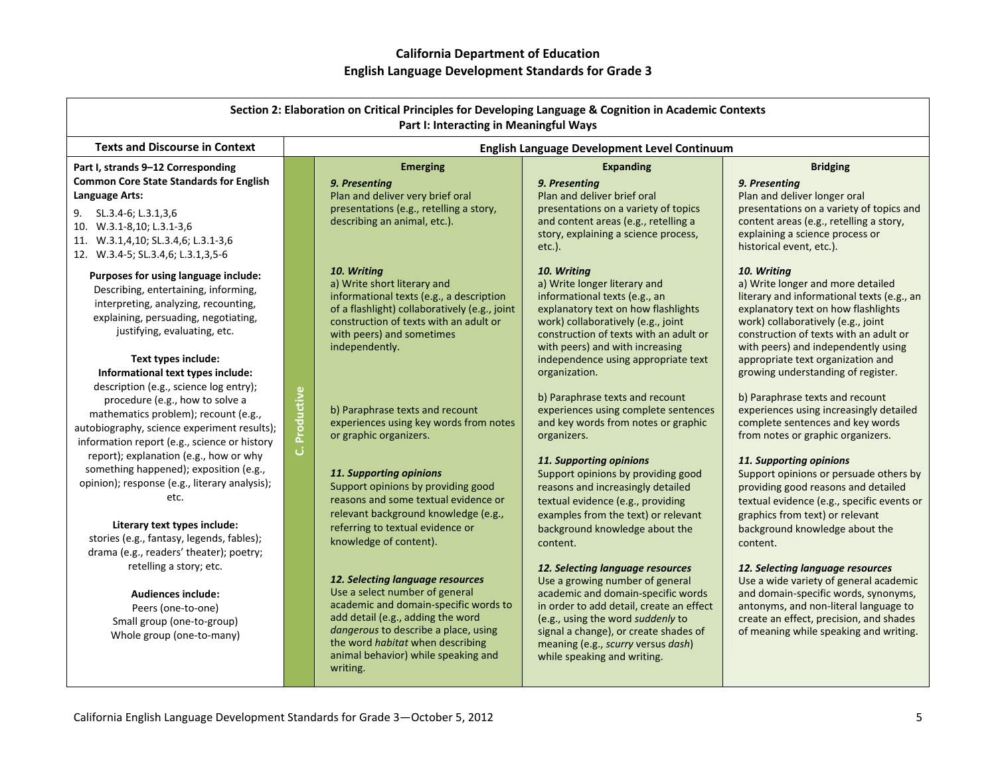| Section 2: Elaboration on Critical Principles for Developing Language & Cognition in Academic Contexts<br>Part I: Interacting in Meaningful Ways                                                                                                                  |                 |                                                                                                                                                                                                                                                                                 |                                                                                                                                                                                                                                                                                                          |                                                                                                                                                                                                                                                                                                                                         |
|-------------------------------------------------------------------------------------------------------------------------------------------------------------------------------------------------------------------------------------------------------------------|-----------------|---------------------------------------------------------------------------------------------------------------------------------------------------------------------------------------------------------------------------------------------------------------------------------|----------------------------------------------------------------------------------------------------------------------------------------------------------------------------------------------------------------------------------------------------------------------------------------------------------|-----------------------------------------------------------------------------------------------------------------------------------------------------------------------------------------------------------------------------------------------------------------------------------------------------------------------------------------|
| <b>Texts and Discourse in Context</b>                                                                                                                                                                                                                             |                 |                                                                                                                                                                                                                                                                                 | English Language Development Level Continuum                                                                                                                                                                                                                                                             |                                                                                                                                                                                                                                                                                                                                         |
| Part I, strands 9-12 Corresponding<br><b>Common Core State Standards for English</b><br>Language Arts:<br>SL.3.4-6; L.3.1,3,6<br>9.<br>10. W.3.1-8,10; L.3.1-3,6<br>11. W.3.1,4,10; SL.3.4,6; L.3.1-3,6<br>12. W.3.4-5; SL.3.4,6; L.3.1,3,5-6                     |                 | <b>Emerging</b><br>9. Presenting<br>Plan and deliver very brief oral<br>presentations (e.g., retelling a story,<br>describing an animal, etc.).                                                                                                                                 | <b>Expanding</b><br>9. Presenting<br>Plan and deliver brief oral<br>presentations on a variety of topics<br>and content areas (e.g., retelling a<br>story, explaining a science process,<br>$etc.$ ).                                                                                                    | <b>Bridging</b><br>9. Presenting<br>Plan and deliver longer oral<br>presentations on a variety of topics and<br>content areas (e.g., retelling a story,<br>explaining a science process or<br>historical event, etc.).                                                                                                                  |
| Purposes for using language include:<br>Describing, entertaining, informing,<br>interpreting, analyzing, recounting,<br>explaining, persuading, negotiating,<br>justifying, evaluating, etc.<br>Text types include:<br>Informational text types include:          |                 | 10. Writing<br>a) Write short literary and<br>informational texts (e.g., a description<br>of a flashlight) collaboratively (e.g., joint<br>construction of texts with an adult or<br>with peers) and sometimes<br>independently.                                                | 10. Writing<br>a) Write longer literary and<br>informational texts (e.g., an<br>explanatory text on how flashlights<br>work) collaboratively (e.g., joint<br>construction of texts with an adult or<br>with peers) and with increasing<br>independence using appropriate text<br>organization.           | 10. Writing<br>a) Write longer and more detailed<br>literary and informational texts (e.g., an<br>explanatory text on how flashlights<br>work) collaboratively (e.g., joint<br>construction of texts with an adult or<br>with peers) and independently using<br>appropriate text organization and<br>growing understanding of register. |
| description (e.g., science log entry);<br>procedure (e.g., how to solve a<br>mathematics problem); recount (e.g.,<br>autobiography, science experiment results);<br>information report (e.g., science or history                                                  | Productive<br>ن | b) Paraphrase texts and recount<br>experiences using key words from notes<br>or graphic organizers.                                                                                                                                                                             | b) Paraphrase texts and recount<br>experiences using complete sentences<br>and key words from notes or graphic<br>organizers.                                                                                                                                                                            | b) Paraphrase texts and recount<br>experiences using increasingly detailed<br>complete sentences and key words<br>from notes or graphic organizers.                                                                                                                                                                                     |
| report); explanation (e.g., how or why<br>something happened); exposition (e.g.,<br>opinion); response (e.g., literary analysis);<br>etc.<br>Literary text types include:<br>stories (e.g., fantasy, legends, fables);<br>drama (e.g., readers' theater); poetry; |                 | 11. Supporting opinions<br>Support opinions by providing good<br>reasons and some textual evidence or<br>relevant background knowledge (e.g.,<br>referring to textual evidence or<br>knowledge of content).                                                                     | 11. Supporting opinions<br>Support opinions by providing good<br>reasons and increasingly detailed<br>textual evidence (e.g., providing<br>examples from the text) or relevant<br>background knowledge about the<br>content.                                                                             | 11. Supporting opinions<br>Support opinions or persuade others by<br>providing good reasons and detailed<br>textual evidence (e.g., specific events or<br>graphics from text) or relevant<br>background knowledge about the<br>content.                                                                                                 |
| retelling a story; etc.<br><b>Audiences include:</b><br>Peers (one-to-one)<br>Small group (one-to-group)<br>Whole group (one-to-many)                                                                                                                             |                 | 12. Selecting language resources<br>Use a select number of general<br>academic and domain-specific words to<br>add detail (e.g., adding the word<br>dangerous to describe a place, using<br>the word habitat when describing<br>animal behavior) while speaking and<br>writing. | 12. Selecting language resources<br>Use a growing number of general<br>academic and domain-specific words<br>in order to add detail, create an effect<br>(e.g., using the word suddenly to<br>signal a change), or create shades of<br>meaning (e.g., scurry versus dash)<br>while speaking and writing. | 12. Selecting language resources<br>Use a wide variety of general academic<br>and domain-specific words, synonyms,<br>antonyms, and non-literal language to<br>create an effect, precision, and shades<br>of meaning while speaking and writing.                                                                                        |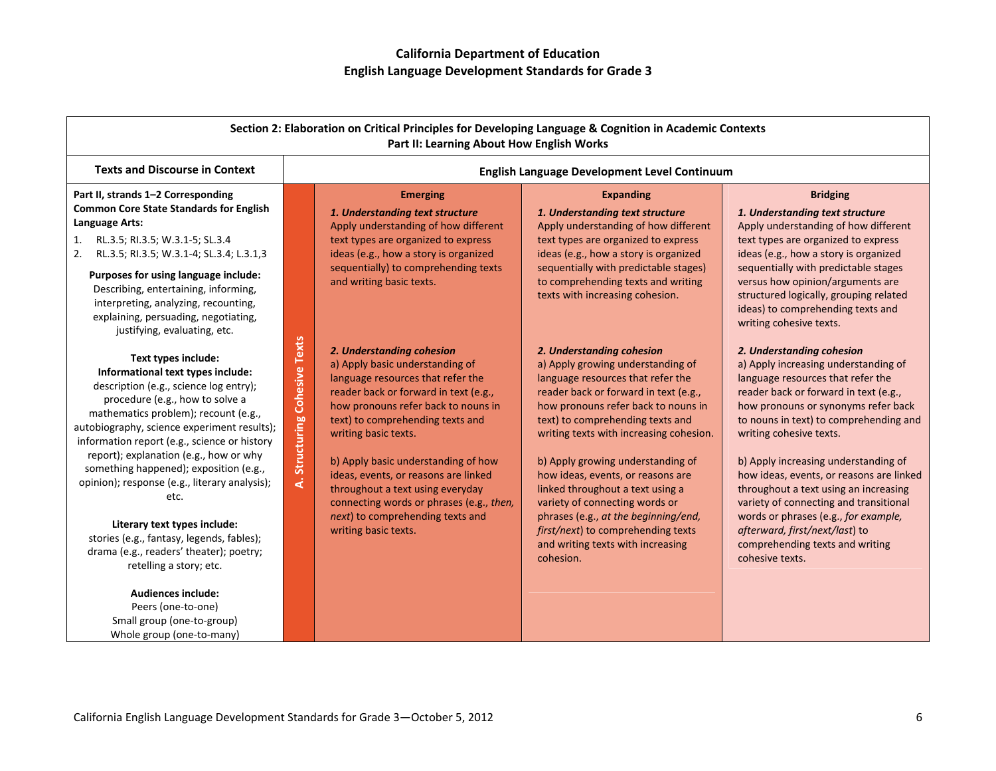| Section 2: Elaboration on Critical Principles for Developing Language & Cognition in Academic Contexts<br>Part II: Learning About How English Works                                                                                                                                                                                                                                                                                                                                                                                                                          |                               |                                                                                                                                                                                                                                                                                                                                                                                                                                                                          |                                                                                                                                                                                                                                                                                                                                                                                                                                                                                                                                                    |                                                                                                                                                                                                                                                                                                                                                                                                                                                                                                                                                                    |
|------------------------------------------------------------------------------------------------------------------------------------------------------------------------------------------------------------------------------------------------------------------------------------------------------------------------------------------------------------------------------------------------------------------------------------------------------------------------------------------------------------------------------------------------------------------------------|-------------------------------|--------------------------------------------------------------------------------------------------------------------------------------------------------------------------------------------------------------------------------------------------------------------------------------------------------------------------------------------------------------------------------------------------------------------------------------------------------------------------|----------------------------------------------------------------------------------------------------------------------------------------------------------------------------------------------------------------------------------------------------------------------------------------------------------------------------------------------------------------------------------------------------------------------------------------------------------------------------------------------------------------------------------------------------|--------------------------------------------------------------------------------------------------------------------------------------------------------------------------------------------------------------------------------------------------------------------------------------------------------------------------------------------------------------------------------------------------------------------------------------------------------------------------------------------------------------------------------------------------------------------|
| <b>Texts and Discourse in Context</b>                                                                                                                                                                                                                                                                                                                                                                                                                                                                                                                                        |                               |                                                                                                                                                                                                                                                                                                                                                                                                                                                                          | English Language Development Level Continuum                                                                                                                                                                                                                                                                                                                                                                                                                                                                                                       |                                                                                                                                                                                                                                                                                                                                                                                                                                                                                                                                                                    |
| Part II, strands 1-2 Corresponding<br><b>Common Core State Standards for English</b><br>Language Arts:<br>1.<br>RL.3.5; RI.3.5; W.3.1-5; SL.3.4<br>RL.3.5; RI.3.5; W.3.1-4; SL.3.4; L.3.1,3<br>2.<br>Purposes for using language include:<br>Describing, entertaining, informing,<br>interpreting, analyzing, recounting,<br>explaining, persuading, negotiating,<br>justifying, evaluating, etc.                                                                                                                                                                            |                               | <b>Emerging</b><br>1. Understanding text structure<br>Apply understanding of how different<br>text types are organized to express<br>ideas (e.g., how a story is organized<br>sequentially) to comprehending texts<br>and writing basic texts.                                                                                                                                                                                                                           | <b>Expanding</b><br>1. Understanding text structure<br>Apply understanding of how different<br>text types are organized to express<br>ideas (e.g., how a story is organized<br>sequentially with predictable stages)<br>to comprehending texts and writing<br>texts with increasing cohesion.                                                                                                                                                                                                                                                      | <b>Bridging</b><br>1. Understanding text structure<br>Apply understanding of how different<br>text types are organized to express<br>ideas (e.g., how a story is organized<br>sequentially with predictable stages<br>versus how opinion/arguments are<br>structured logically, grouping related<br>ideas) to comprehending texts and<br>writing cohesive texts.                                                                                                                                                                                                   |
| Text types include:<br>Informational text types include:<br>description (e.g., science log entry);<br>procedure (e.g., how to solve a<br>mathematics problem); recount (e.g.,<br>autobiography, science experiment results);<br>information report (e.g., science or history<br>report); explanation (e.g., how or why<br>something happened); exposition (e.g.,<br>opinion); response (e.g., literary analysis);<br>etc.<br>Literary text types include:<br>stories (e.g., fantasy, legends, fables);<br>drama (e.g., readers' theater); poetry;<br>retelling a story; etc. | A. Structuring Cohesive Texts | 2. Understanding cohesion<br>a) Apply basic understanding of<br>language resources that refer the<br>reader back or forward in text (e.g.,<br>how pronouns refer back to nouns in<br>text) to comprehending texts and<br>writing basic texts.<br>b) Apply basic understanding of how<br>ideas, events, or reasons are linked<br>throughout a text using everyday<br>connecting words or phrases (e.g., then,<br>next) to comprehending texts and<br>writing basic texts. | 2. Understanding cohesion<br>a) Apply growing understanding of<br>language resources that refer the<br>reader back or forward in text (e.g.,<br>how pronouns refer back to nouns in<br>text) to comprehending texts and<br>writing texts with increasing cohesion.<br>b) Apply growing understanding of<br>how ideas, events, or reasons are<br>linked throughout a text using a<br>variety of connecting words or<br>phrases (e.g., at the beginning/end,<br>first/next) to comprehending texts<br>and writing texts with increasing<br>cohesion. | 2. Understanding cohesion<br>a) Apply increasing understanding of<br>language resources that refer the<br>reader back or forward in text (e.g.,<br>how pronouns or synonyms refer back<br>to nouns in text) to comprehending and<br>writing cohesive texts.<br>b) Apply increasing understanding of<br>how ideas, events, or reasons are linked<br>throughout a text using an increasing<br>variety of connecting and transitional<br>words or phrases (e.g., for example,<br>afterward, first/next/last) to<br>comprehending texts and writing<br>cohesive texts. |
| <b>Audiences include:</b><br>Peers (one-to-one)<br>Small group (one-to-group)<br>Whole group (one-to-many)                                                                                                                                                                                                                                                                                                                                                                                                                                                                   |                               |                                                                                                                                                                                                                                                                                                                                                                                                                                                                          |                                                                                                                                                                                                                                                                                                                                                                                                                                                                                                                                                    |                                                                                                                                                                                                                                                                                                                                                                                                                                                                                                                                                                    |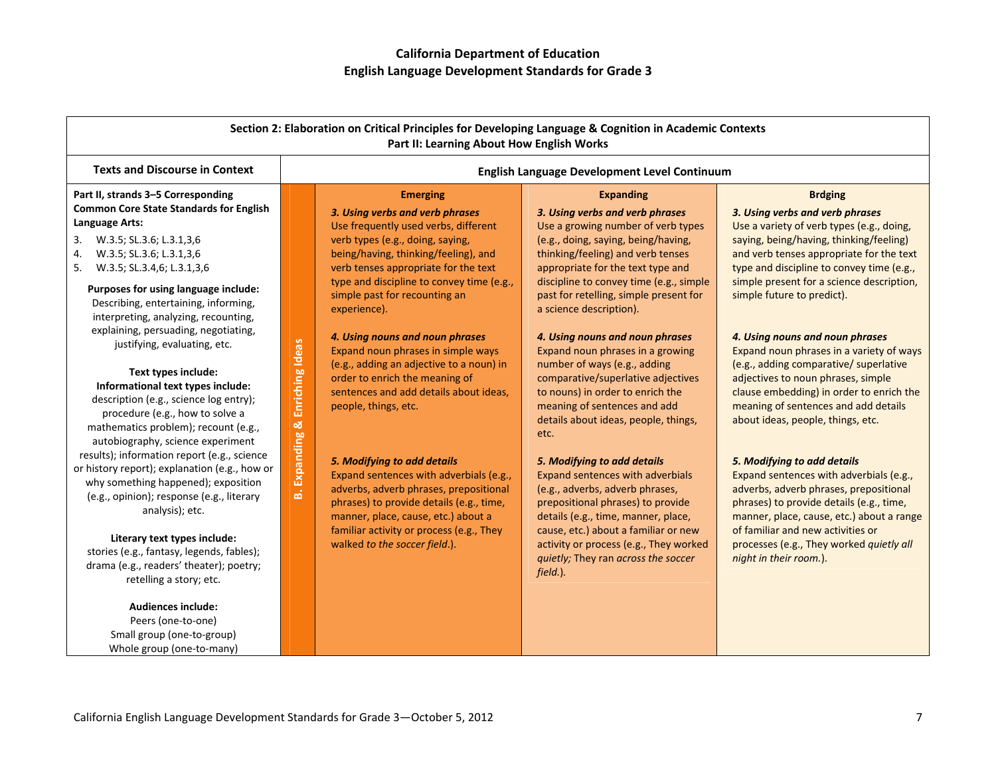| Section 2: Elaboration on Critical Principles for Developing Language & Cognition in Academic Contexts<br>Part II: Learning About How English Works                                                                                                                                                                                                                                                                                                                                                                                                                                                                                                                                                                                                                                                                                                                                                                                                                                                                                                                             |                                          |                                                                                                                                                                                                                                                                                                                                                                                                                                                                                                                                                                                                                                                                                                                                                                                                                           |                                                                                                                                                                                                                                                                                                                                                                                                                                                                                                                                                                                                                                                                                                                                                                                                                                                                                                                    |                                                                                                                                                                                                                                                                                                                                                                                                                                                                                                                                                                                                                                                                                                                                                                                                                                                                                                                               |
|---------------------------------------------------------------------------------------------------------------------------------------------------------------------------------------------------------------------------------------------------------------------------------------------------------------------------------------------------------------------------------------------------------------------------------------------------------------------------------------------------------------------------------------------------------------------------------------------------------------------------------------------------------------------------------------------------------------------------------------------------------------------------------------------------------------------------------------------------------------------------------------------------------------------------------------------------------------------------------------------------------------------------------------------------------------------------------|------------------------------------------|---------------------------------------------------------------------------------------------------------------------------------------------------------------------------------------------------------------------------------------------------------------------------------------------------------------------------------------------------------------------------------------------------------------------------------------------------------------------------------------------------------------------------------------------------------------------------------------------------------------------------------------------------------------------------------------------------------------------------------------------------------------------------------------------------------------------------|--------------------------------------------------------------------------------------------------------------------------------------------------------------------------------------------------------------------------------------------------------------------------------------------------------------------------------------------------------------------------------------------------------------------------------------------------------------------------------------------------------------------------------------------------------------------------------------------------------------------------------------------------------------------------------------------------------------------------------------------------------------------------------------------------------------------------------------------------------------------------------------------------------------------|-------------------------------------------------------------------------------------------------------------------------------------------------------------------------------------------------------------------------------------------------------------------------------------------------------------------------------------------------------------------------------------------------------------------------------------------------------------------------------------------------------------------------------------------------------------------------------------------------------------------------------------------------------------------------------------------------------------------------------------------------------------------------------------------------------------------------------------------------------------------------------------------------------------------------------|
| <b>Texts and Discourse in Context</b>                                                                                                                                                                                                                                                                                                                                                                                                                                                                                                                                                                                                                                                                                                                                                                                                                                                                                                                                                                                                                                           |                                          | English Language Development Level Continuum                                                                                                                                                                                                                                                                                                                                                                                                                                                                                                                                                                                                                                                                                                                                                                              |                                                                                                                                                                                                                                                                                                                                                                                                                                                                                                                                                                                                                                                                                                                                                                                                                                                                                                                    |                                                                                                                                                                                                                                                                                                                                                                                                                                                                                                                                                                                                                                                                                                                                                                                                                                                                                                                               |
| Part II, strands 3-5 Corresponding<br><b>Common Core State Standards for English</b><br>Language Arts:<br>3.<br>W.3.5; SL.3.6; L.3.1,3,6<br>W.3.5; SL.3.6; L.3.1,3,6<br>4.<br>5.<br>W.3.5; SL.3.4,6; L.3.1,3,6<br>Purposes for using language include:<br>Describing, entertaining, informing,<br>interpreting, analyzing, recounting,<br>explaining, persuading, negotiating,<br>justifying, evaluating, etc.<br>Text types include:<br>Informational text types include:<br>description (e.g., science log entry);<br>procedure (e.g., how to solve a<br>mathematics problem); recount (e.g.,<br>autobiography, science experiment<br>results); information report (e.g., science<br>or history report); explanation (e.g., how or<br>why something happened); exposition<br>(e.g., opinion); response (e.g., literary<br>analysis); etc.<br>Literary text types include:<br>stories (e.g., fantasy, legends, fables);<br>drama (e.g., readers' theater); poetry;<br>retelling a story; etc.<br><b>Audiences include:</b><br>Peers (one-to-one)<br>Small group (one-to-group) | Enriching Ideas<br>ಜ<br>Expanding<br>ιá, | <b>Emerging</b><br>3. Using verbs and verb phrases<br>Use frequently used verbs, different<br>verb types (e.g., doing, saying,<br>being/having, thinking/feeling), and<br>verb tenses appropriate for the text<br>type and discipline to convey time (e.g.,<br>simple past for recounting an<br>experience).<br>4. Using nouns and noun phrases<br>Expand noun phrases in simple ways<br>(e.g., adding an adjective to a noun) in<br>order to enrich the meaning of<br>sentences and add details about ideas,<br>people, things, etc.<br>5. Modifying to add details<br>Expand sentences with adverbials (e.g.,<br>adverbs, adverb phrases, prepositional<br>phrases) to provide details (e.g., time,<br>manner, place, cause, etc.) about a<br>familiar activity or process (e.g., They<br>walked to the soccer field.). | <b>Expanding</b><br>3. Using verbs and verb phrases<br>Use a growing number of verb types<br>(e.g., doing, saying, being/having,<br>thinking/feeling) and verb tenses<br>appropriate for the text type and<br>discipline to convey time (e.g., simple<br>past for retelling, simple present for<br>a science description).<br>4. Using nouns and noun phrases<br>Expand noun phrases in a growing<br>number of ways (e.g., adding<br>comparative/superlative adjectives<br>to nouns) in order to enrich the<br>meaning of sentences and add<br>details about ideas, people, things,<br>etc.<br>5. Modifying to add details<br>Expand sentences with adverbials<br>(e.g., adverbs, adverb phrases,<br>prepositional phrases) to provide<br>details (e.g., time, manner, place,<br>cause, etc.) about a familiar or new<br>activity or process (e.g., They worked<br>quietly; They ran across the soccer<br>field.). | <b>Brdging</b><br>3. Using verbs and verb phrases<br>Use a variety of verb types (e.g., doing,<br>saying, being/having, thinking/feeling)<br>and verb tenses appropriate for the text<br>type and discipline to convey time (e.g.,<br>simple present for a science description,<br>simple future to predict).<br>4. Using nouns and noun phrases<br>Expand noun phrases in a variety of ways<br>(e.g., adding comparative/ superlative<br>adjectives to noun phrases, simple<br>clause embedding) in order to enrich the<br>meaning of sentences and add details<br>about ideas, people, things, etc.<br>5. Modifying to add details<br>Expand sentences with adverbials (e.g.,<br>adverbs, adverb phrases, prepositional<br>phrases) to provide details (e.g., time,<br>manner, place, cause, etc.) about a range<br>of familiar and new activities or<br>processes (e.g., They worked quietly all<br>night in their room.). |

Whole group (one‐to‐many)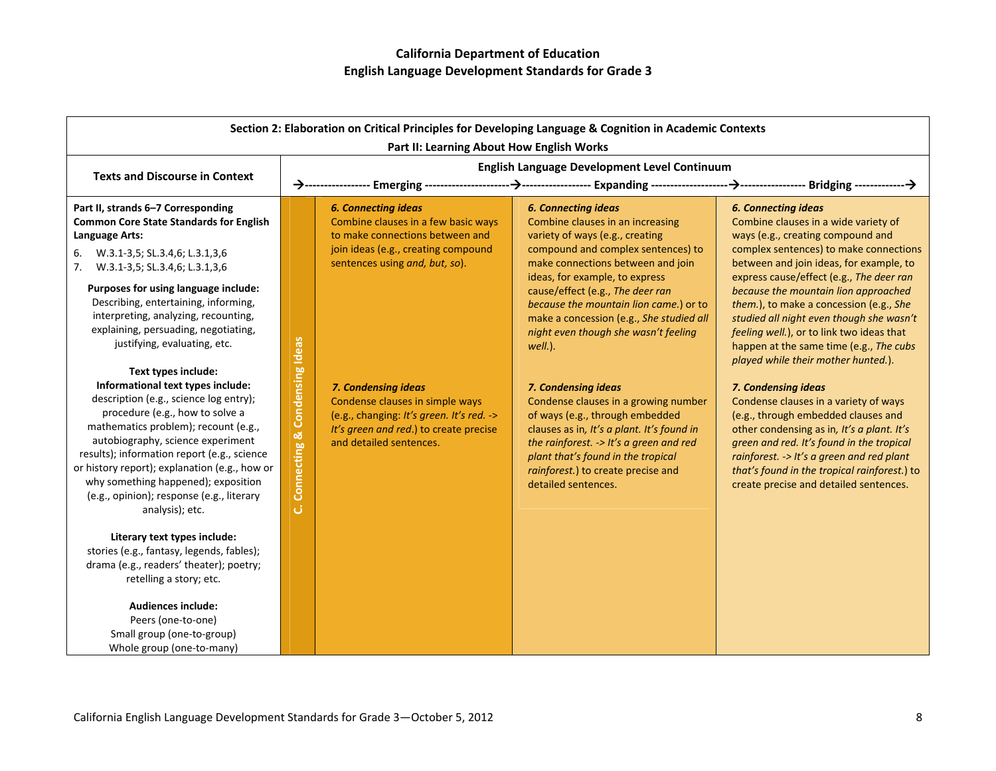| Section 2: Elaboration on Critical Principles for Developing Language & Cognition in Academic Contexts<br>Part II: Learning About How English Works                                                                                                                                                                                                                                                                                                                                                                                                                                                                                                                                                                                                                                                           |                                    |                                                                                                                                                                                                                                                                                                                                                           |                                                                                                                                                                                                                                                                                                                                                                                                                                                                                                                                                                                                                                                                                           |                                                                                                                                                                                                                                                                                                                                                                                                                                                                                                                                                                                                                                                                                                                                                                                                                                                 |
|---------------------------------------------------------------------------------------------------------------------------------------------------------------------------------------------------------------------------------------------------------------------------------------------------------------------------------------------------------------------------------------------------------------------------------------------------------------------------------------------------------------------------------------------------------------------------------------------------------------------------------------------------------------------------------------------------------------------------------------------------------------------------------------------------------------|------------------------------------|-----------------------------------------------------------------------------------------------------------------------------------------------------------------------------------------------------------------------------------------------------------------------------------------------------------------------------------------------------------|-------------------------------------------------------------------------------------------------------------------------------------------------------------------------------------------------------------------------------------------------------------------------------------------------------------------------------------------------------------------------------------------------------------------------------------------------------------------------------------------------------------------------------------------------------------------------------------------------------------------------------------------------------------------------------------------|-------------------------------------------------------------------------------------------------------------------------------------------------------------------------------------------------------------------------------------------------------------------------------------------------------------------------------------------------------------------------------------------------------------------------------------------------------------------------------------------------------------------------------------------------------------------------------------------------------------------------------------------------------------------------------------------------------------------------------------------------------------------------------------------------------------------------------------------------|
| <b>Texts and Discourse in Context</b>                                                                                                                                                                                                                                                                                                                                                                                                                                                                                                                                                                                                                                                                                                                                                                         |                                    |                                                                                                                                                                                                                                                                                                                                                           | English Language Development Level Continuum                                                                                                                                                                                                                                                                                                                                                                                                                                                                                                                                                                                                                                              |                                                                                                                                                                                                                                                                                                                                                                                                                                                                                                                                                                                                                                                                                                                                                                                                                                                 |
| Part II, strands 6-7 Corresponding<br><b>Common Core State Standards for English</b><br>Language Arts:<br>6. W.3.1-3,5; SL.3.4,6; L.3.1,3,6<br>7. W.3.1-3,5; SL.3.4,6; L.3.1,3,6<br>Purposes for using language include:<br>Describing, entertaining, informing,<br>interpreting, analyzing, recounting,<br>explaining, persuading, negotiating,<br>justifying, evaluating, etc.<br>Text types include:<br>Informational text types include:<br>description (e.g., science log entry);<br>procedure (e.g., how to solve a<br>mathematics problem); recount (e.g.,<br>autobiography, science experiment<br>results); information report (e.g., science<br>or history report); explanation (e.g., how or<br>why something happened); exposition<br>(e.g., opinion); response (e.g., literary<br>analysis); etc. | Connecting & Condensing Ideas<br>ن | <b>6. Connecting ideas</b><br>Combine clauses in a few basic ways<br>to make connections between and<br>join ideas (e.g., creating compound<br>sentences using and, but, so).<br>7. Condensing ideas<br>Condense clauses in simple ways<br>(e.g., changing: It's green. It's red. -><br>It's green and red.) to create precise<br>and detailed sentences. | <b>6. Connecting ideas</b><br>Combine clauses in an increasing<br>variety of ways (e.g., creating<br>compound and complex sentences) to<br>make connections between and join<br>ideas, for example, to express<br>cause/effect (e.g., The deer ran<br>because the mountain lion came.) or to<br>make a concession (e.g., She studied all<br>night even though she wasn't feeling<br>well.).<br>7. Condensing ideas<br>Condense clauses in a growing number<br>of ways (e.g., through embedded<br>clauses as in, It's a plant. It's found in<br>the rainforest. -> It's a green and red<br>plant that's found in the tropical<br>rainforest.) to create precise and<br>detailed sentences. | <b>6. Connecting ideas</b><br>Combine clauses in a wide variety of<br>ways (e.g., creating compound and<br>complex sentences) to make connections<br>between and join ideas, for example, to<br>express cause/effect (e.g., The deer ran<br>because the mountain lion approached<br>them.), to make a concession (e.g., She<br>studied all night even though she wasn't<br>feeling well.), or to link two ideas that<br>happen at the same time (e.g., The cubs<br>played while their mother hunted.).<br>7. Condensing ideas<br>Condense clauses in a variety of ways<br>(e.g., through embedded clauses and<br>other condensing as in, It's a plant. It's<br>green and red. It's found in the tropical<br>rainforest. -> It's a green and red plant<br>that's found in the tropical rainforest.) to<br>create precise and detailed sentences. |
| Literary text types include:<br>stories (e.g., fantasy, legends, fables);<br>drama (e.g., readers' theater); poetry;<br>retelling a story; etc.<br><b>Audiences include:</b><br>Peers (one-to-one)<br>Small group (one-to-group)<br>Whole group (one-to-many)                                                                                                                                                                                                                                                                                                                                                                                                                                                                                                                                                 |                                    |                                                                                                                                                                                                                                                                                                                                                           |                                                                                                                                                                                                                                                                                                                                                                                                                                                                                                                                                                                                                                                                                           |                                                                                                                                                                                                                                                                                                                                                                                                                                                                                                                                                                                                                                                                                                                                                                                                                                                 |